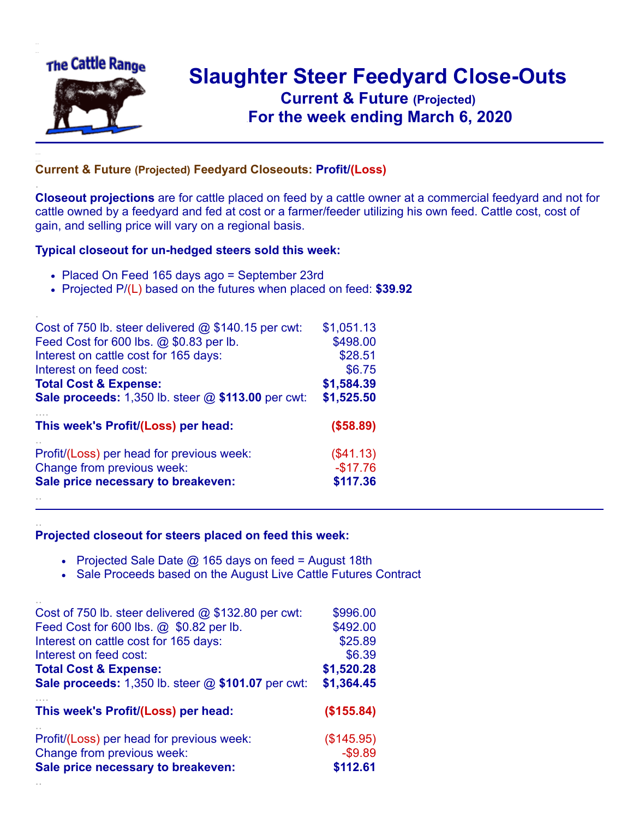

.

..

## **Slaughter Steer Feedyard Close-Outs Current & Future (Projected)** .**For the week ending March 6, 2020**

## **Current & Future (Projected) Feedyard Closeouts: Profit/(Loss)**

**Closeout projections** are for cattle placed on feed by a cattle owner at a commercial feedyard and not for cattle owned by a feedyard and fed at cost or a farmer/feeder utilizing his own feed. Cattle cost, cost of gain, and selling price will vary on a regional basis.

## **Typical closeout for un-hedged steers sold this week:**

- Placed On Feed 165 days ago = September 23rd
- Projected P/(L) based on the futures when placed on feed: **\$39.92**

| Cost of 750 lb. steer delivered $@$ \$140.15 per cwt:       | \$1,051.13 |
|-------------------------------------------------------------|------------|
| Feed Cost for 600 lbs. @ \$0.83 per lb.                     | \$498.00   |
| Interest on cattle cost for 165 days:                       | \$28.51    |
| Interest on feed cost:                                      | \$6.75     |
| <b>Total Cost &amp; Expense:</b>                            | \$1,584.39 |
| <b>Sale proceeds:</b> 1,350 lb. steer $@$ \$113.00 per cwt: | \$1,525.50 |
| This week's Profit/(Loss) per head:                         | (\$58.89)  |
| Profit/(Loss) per head for previous week:                   | (\$41.13)  |
| Change from previous week:                                  | $-$17.76$  |
| Sale price necessary to breakeven:                          | \$117.36   |
|                                                             |            |

## **Projected closeout for steers placed on feed this week:**

- Projected Sale Date  $@$  165 days on feed = August 18th
- Sale Proceeds based on the August Live Cattle Futures Contract

| This week's Profit/(Loss) per head:                   | (\$155.84) |
|-------------------------------------------------------|------------|
|                                                       |            |
|                                                       |            |
| <b>Total Cost &amp; Expense:</b>                      | \$1,520.28 |
| Sale proceeds: 1,350 lb. steer @ \$101.07 per cwt:    | \$1,364.45 |
| Interest on cattle cost for 165 days:                 | \$25.89    |
| Interest on feed cost:                                | \$6.39     |
| Cost of 750 lb. steer delivered $@$ \$132.80 per cwt: | \$996.00   |
| Feed Cost for 600 lbs. @ \$0.82 per lb.               | \$492.00   |